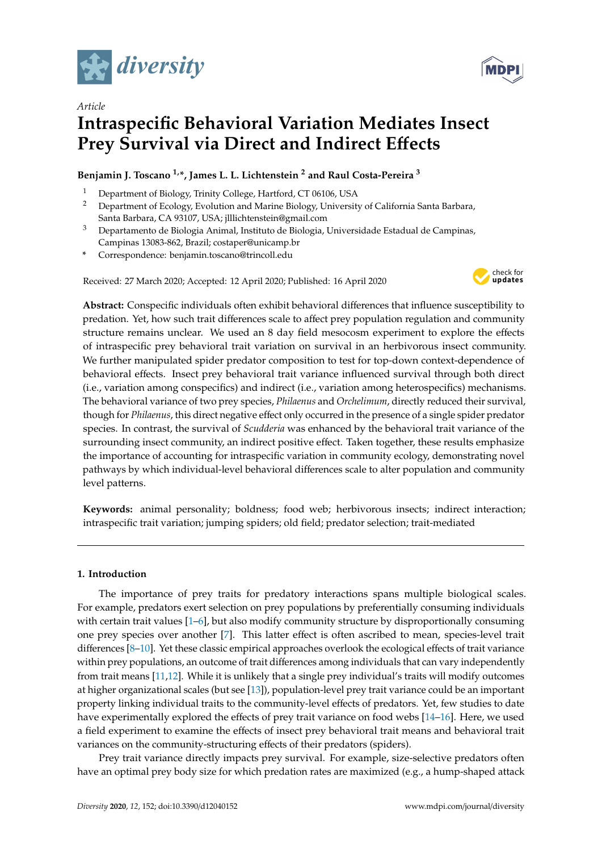

*Article*



# **Intraspecific Behavioral Variation Mediates Insect Prey Survival via Direct and Indirect E**ff**ects**

# **Benjamin J. Toscano 1,\*, James L. L. Lichtenstein <sup>2</sup> and Raul Costa-Pereira <sup>3</sup>**

- <sup>1</sup> Department of Biology, Trinity College, Hartford, CT 06106, USA<br><sup>2</sup> Department of Ecology, Evolution and Marine Biology University
- <sup>2</sup> Department of Ecology, Evolution and Marine Biology, University of California Santa Barbara, Santa Barbara, CA 93107, USA; jlllichtenstein@gmail.com
- <sup>3</sup> Departamento de Biologia Animal, Instituto de Biologia, Universidade Estadual de Campinas, Campinas 13083-862, Brazil; costaper@unicamp.br
- **\*** Correspondence: benjamin.toscano@trincoll.edu

Received: 27 March 2020; Accepted: 12 April 2020; Published: 16 April 2020



**Abstract:** Conspecific individuals often exhibit behavioral differences that influence susceptibility to predation. Yet, how such trait differences scale to affect prey population regulation and community structure remains unclear. We used an 8 day field mesocosm experiment to explore the effects of intraspecific prey behavioral trait variation on survival in an herbivorous insect community. We further manipulated spider predator composition to test for top-down context-dependence of behavioral effects. Insect prey behavioral trait variance influenced survival through both direct (i.e., variation among conspecifics) and indirect (i.e., variation among heterospecifics) mechanisms. The behavioral variance of two prey species, *Philaenus* and *Orchelimum*, directly reduced their survival, though for *Philaenus*, this direct negative effect only occurred in the presence of a single spider predator species. In contrast, the survival of *Scudderia* was enhanced by the behavioral trait variance of the surrounding insect community, an indirect positive effect. Taken together, these results emphasize the importance of accounting for intraspecific variation in community ecology, demonstrating novel pathways by which individual-level behavioral differences scale to alter population and community level patterns.

**Keywords:** animal personality; boldness; food web; herbivorous insects; indirect interaction; intraspecific trait variation; jumping spiders; old field; predator selection; trait-mediated

# **1. Introduction**

The importance of prey traits for predatory interactions spans multiple biological scales. For example, predators exert selection on prey populations by preferentially consuming individuals with certain trait values [\[1](#page-8-0)[–6\]](#page-8-1), but also modify community structure by disproportionally consuming one prey species over another [\[7\]](#page-8-2). This latter effect is often ascribed to mean, species-level trait differences [\[8](#page-8-3)[–10\]](#page-8-4). Yet these classic empirical approaches overlook the ecological effects of trait variance within prey populations, an outcome of trait differences among individuals that can vary independently from trait means [\[11,](#page-8-5)[12\]](#page-8-6). While it is unlikely that a single prey individual's traits will modify outcomes at higher organizational scales (but see [\[13\]](#page-8-7)), population-level prey trait variance could be an important property linking individual traits to the community-level effects of predators. Yet, few studies to date have experimentally explored the effects of prey trait variance on food webs [\[14](#page-8-8)[–16\]](#page-8-9). Here, we used a field experiment to examine the effects of insect prey behavioral trait means and behavioral trait variances on the community-structuring effects of their predators (spiders).

Prey trait variance directly impacts prey survival. For example, size-selective predators often have an optimal prey body size for which predation rates are maximized (e.g., a hump-shaped attack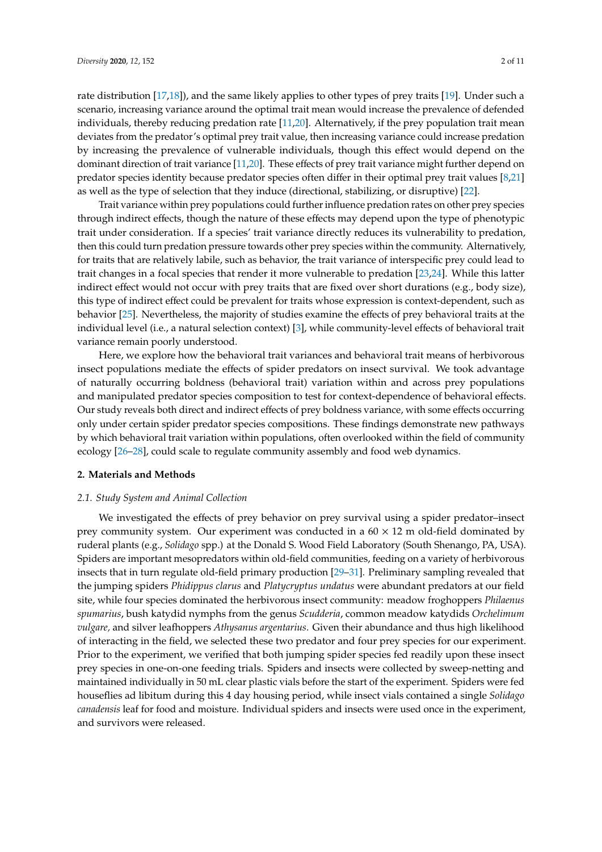rate distribution [\[17](#page-8-10)[,18\]](#page-8-11)), and the same likely applies to other types of prey traits [\[19\]](#page-9-0). Under such a scenario, increasing variance around the optimal trait mean would increase the prevalence of defended individuals, thereby reducing predation rate [\[11](#page-8-5)[,20\]](#page-9-1). Alternatively, if the prey population trait mean deviates from the predator's optimal prey trait value, then increasing variance could increase predation by increasing the prevalence of vulnerable individuals, though this effect would depend on the dominant direction of trait variance [\[11](#page-8-5)[,20\]](#page-9-1). These effects of prey trait variance might further depend on predator species identity because predator species often differ in their optimal prey trait values [\[8](#page-8-3)[,21\]](#page-9-2) as well as the type of selection that they induce (directional, stabilizing, or disruptive) [\[22\]](#page-9-3).

Trait variance within prey populations could further influence predation rates on other prey species through indirect effects, though the nature of these effects may depend upon the type of phenotypic trait under consideration. If a species' trait variance directly reduces its vulnerability to predation, then this could turn predation pressure towards other prey species within the community. Alternatively, for traits that are relatively labile, such as behavior, the trait variance of interspecific prey could lead to trait changes in a focal species that render it more vulnerable to predation [\[23](#page-9-4)[,24\]](#page-9-5). While this latter indirect effect would not occur with prey traits that are fixed over short durations (e.g., body size), this type of indirect effect could be prevalent for traits whose expression is context-dependent, such as behavior [\[25\]](#page-9-6). Nevertheless, the majority of studies examine the effects of prey behavioral traits at the individual level (i.e., a natural selection context) [\[3\]](#page-8-12), while community-level effects of behavioral trait variance remain poorly understood.

Here, we explore how the behavioral trait variances and behavioral trait means of herbivorous insect populations mediate the effects of spider predators on insect survival. We took advantage of naturally occurring boldness (behavioral trait) variation within and across prey populations and manipulated predator species composition to test for context-dependence of behavioral effects. Our study reveals both direct and indirect effects of prey boldness variance, with some effects occurring only under certain spider predator species compositions. These findings demonstrate new pathways by which behavioral trait variation within populations, often overlooked within the field of community ecology [\[26](#page-9-7)[–28\]](#page-9-8), could scale to regulate community assembly and food web dynamics.

## **2. Materials and Methods**

## *2.1. Study System and Animal Collection*

We investigated the effects of prey behavior on prey survival using a spider predator–insect prey community system. Our experiment was conducted in a  $60 \times 12$  m old-field dominated by ruderal plants (e.g., *Solidago* spp.) at the Donald S. Wood Field Laboratory (South Shenango, PA, USA). Spiders are important mesopredators within old-field communities, feeding on a variety of herbivorous insects that in turn regulate old-field primary production [\[29](#page-9-9)[–31\]](#page-9-10). Preliminary sampling revealed that the jumping spiders *Phidippus clarus* and *Platycryptus undatus* were abundant predators at our field site, while four species dominated the herbivorous insect community: meadow froghoppers *Philaenus spumarius*, bush katydid nymphs from the genus *Scudderia*, common meadow katydids *Orchelimum vulgare,* and silver leafhoppers *Athysanus argentarius*. Given their abundance and thus high likelihood of interacting in the field, we selected these two predator and four prey species for our experiment. Prior to the experiment, we verified that both jumping spider species fed readily upon these insect prey species in one-on-one feeding trials. Spiders and insects were collected by sweep-netting and maintained individually in 50 mL clear plastic vials before the start of the experiment. Spiders were fed houseflies ad libitum during this 4 day housing period, while insect vials contained a single *Solidago canadensis* leaf for food and moisture. Individual spiders and insects were used once in the experiment, and survivors were released.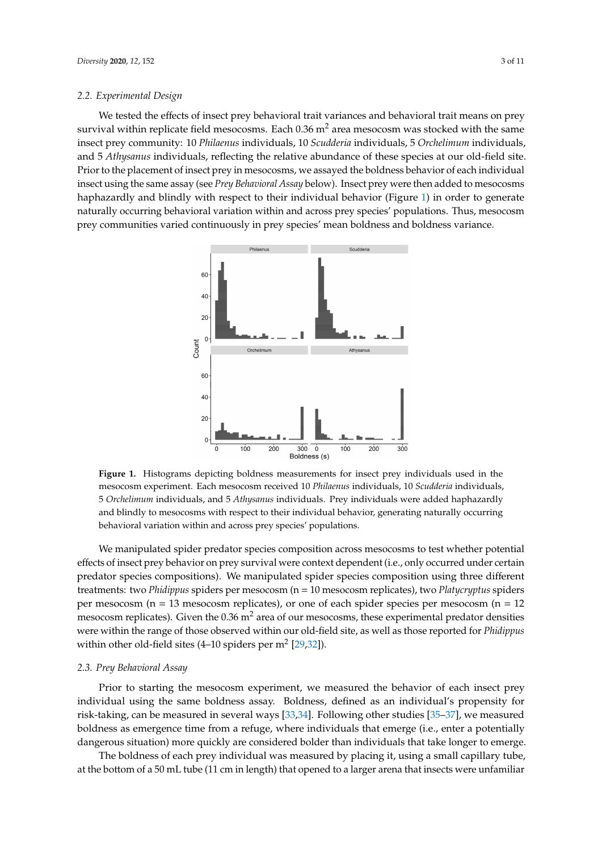### *2.2. Experimental Design*

We tested the effects of insect prey behavioral trait variances and behavioral trait means on prey survival within replicate field mesocosms. Each  $0.36$  m<sup>2</sup> area mesocosm was stocked with the same insect prey community: 10 *Philaenus* individuals, 10 *Scudderia* individuals, 5 *Orchelimum* individuals, and 5 *Athysanus* individuals, reflecting the relative abundance of these species at our old-field site. Prior to the placement of insect prey in mesocosms, we assayed the boldness behavior of each individual insect using the same assay (see *Prey Behavioral Assay* below). Insect prey were then added to mesocosms haphazardly and blindly with respect to their individual behavior (Figure [1\)](#page-2-0) in order to generate naturally occurring behavioral variation within and across prey species' populations. Thus, mesocosm prey communities varied continuously in prey species' mean boldness and boldness variance.

<span id="page-2-0"></span>

**Figure 1.** Histograms depicting boldness measurements for insect prey individuals used in the mesocosm experiment. Each mesocosm received 10 *Philaenus* individuals, 10 *Scudderia* individuals, 5 *Orchelimum* individuals, and 5 *Athysanus* individuals. Prey individuals were added haphazardly and blindly to mesocosms with respect to their individual behavior, generating naturally occurring behavioral variation within and across prey species' populations.

We manipulated spider predator species composition across mesocosms to test whether potential effects of insect prey behavior on prey survival were context dependent (i.e., only occurred under certain predator species compositions). We manipulated spider species composition using three different treatments: two *Phidippus* spiders per mesocosm (n = 10 mesocosm replicates), two *Platycryptus* spiders per mesocosm (n = 13 mesocosm replicates), or one of each spider species per mesocosm (n = 12 mesocosm replicates). Given the  $0.36$  m<sup>2</sup> area of our mesocosms, these experimental predator densities were within the range of those observed within our old-field site, as well as those reported for *Phidippus* within other old-field sites  $(4-10 \text{ spiders per m}^2 [29,32])$  $(4-10 \text{ spiders per m}^2 [29,32])$  $(4-10 \text{ spiders per m}^2 [29,32])$  $(4-10 \text{ spiders per m}^2 [29,32])$ .

## *2.3. Prey Behavioral Assay*

Prior to starting the mesocosm experiment, we measured the behavior of each insect prey individual using the same boldness assay. Boldness, defined as an individual's propensity for risk-taking, can be measured in several ways [\[33,](#page-9-12)[34\]](#page-9-13). Following other studies [\[35–](#page-9-14)[37\]](#page-9-15), we measured boldness as emergence time from a refuge, where individuals that emerge (i.e., enter a potentially dangerous situation) more quickly are considered bolder than individuals that take longer to emerge.

The boldness of each prey individual was measured by placing it, using a small capillary tube, at the bottom of a 50 mL tube (11 cm in length) that opened to a larger arena that insects were unfamiliar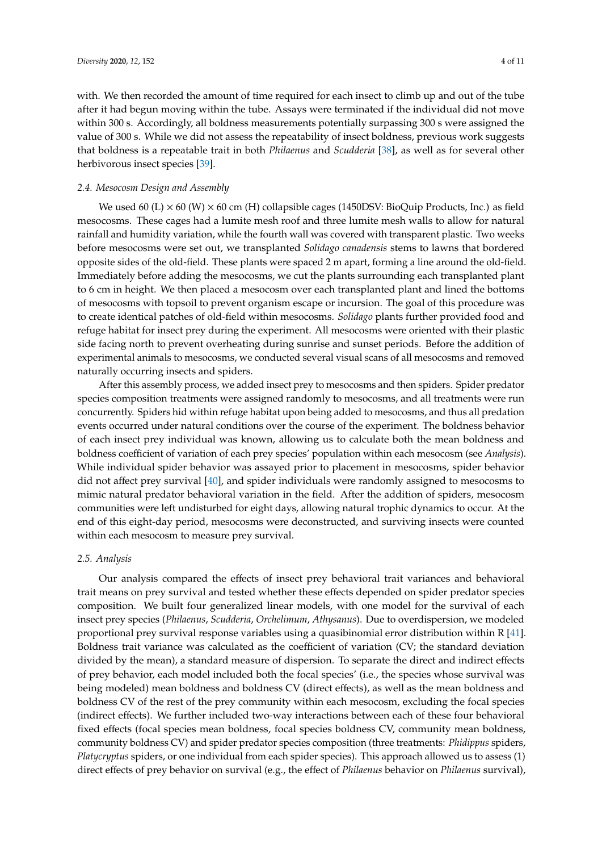with. We then recorded the amount of time required for each insect to climb up and out of the tube after it had begun moving within the tube. Assays were terminated if the individual did not move within 300 s. Accordingly, all boldness measurements potentially surpassing 300 s were assigned the value of 300 s. While we did not assess the repeatability of insect boldness, previous work suggests that boldness is a repeatable trait in both *Philaenus* and *Scudderia* [\[38\]](#page-9-16), as well as for several other herbivorous insect species [\[39\]](#page-9-17).

## *2.4. Mesocosm Design and Assembly*

We used 60 (L)  $\times$  60 (W)  $\times$  60 cm (H) collapsible cages (1450DSV: BioQuip Products, Inc.) as field mesocosms. These cages had a lumite mesh roof and three lumite mesh walls to allow for natural rainfall and humidity variation, while the fourth wall was covered with transparent plastic. Two weeks before mesocosms were set out, we transplanted *Solidago canadensis* stems to lawns that bordered opposite sides of the old-field. These plants were spaced 2 m apart, forming a line around the old-field. Immediately before adding the mesocosms, we cut the plants surrounding each transplanted plant to 6 cm in height. We then placed a mesocosm over each transplanted plant and lined the bottoms of mesocosms with topsoil to prevent organism escape or incursion. The goal of this procedure was to create identical patches of old-field within mesocosms. *Solidago* plants further provided food and refuge habitat for insect prey during the experiment. All mesocosms were oriented with their plastic side facing north to prevent overheating during sunrise and sunset periods. Before the addition of experimental animals to mesocosms, we conducted several visual scans of all mesocosms and removed naturally occurring insects and spiders.

After this assembly process, we added insect prey to mesocosms and then spiders. Spider predator species composition treatments were assigned randomly to mesocosms, and all treatments were run concurrently. Spiders hid within refuge habitat upon being added to mesocosms, and thus all predation events occurred under natural conditions over the course of the experiment. The boldness behavior of each insect prey individual was known, allowing us to calculate both the mean boldness and boldness coefficient of variation of each prey species' population within each mesocosm (see *Analysis*). While individual spider behavior was assayed prior to placement in mesocosms, spider behavior did not affect prey survival [\[40\]](#page-9-18), and spider individuals were randomly assigned to mesocosms to mimic natural predator behavioral variation in the field. After the addition of spiders, mesocosm communities were left undisturbed for eight days, allowing natural trophic dynamics to occur. At the end of this eight-day period, mesocosms were deconstructed, and surviving insects were counted within each mesocosm to measure prey survival.

## *2.5. Analysis*

Our analysis compared the effects of insect prey behavioral trait variances and behavioral trait means on prey survival and tested whether these effects depended on spider predator species composition. We built four generalized linear models, with one model for the survival of each insect prey species (*Philaenus*, *Scudderia*, *Orchelimum*, *Athysanus*). Due to overdispersion, we modeled proportional prey survival response variables using a quasibinomial error distribution within R [\[41\]](#page-9-19). Boldness trait variance was calculated as the coefficient of variation (CV; the standard deviation divided by the mean), a standard measure of dispersion. To separate the direct and indirect effects of prey behavior, each model included both the focal species' (i.e., the species whose survival was being modeled) mean boldness and boldness CV (direct effects), as well as the mean boldness and boldness CV of the rest of the prey community within each mesocosm, excluding the focal species (indirect effects). We further included two-way interactions between each of these four behavioral fixed effects (focal species mean boldness, focal species boldness CV, community mean boldness, community boldness CV) and spider predator species composition (three treatments: *Phidippus* spiders, *Platycryptus* spiders, or one individual from each spider species). This approach allowed us to assess (1) direct effects of prey behavior on survival (e.g., the effect of *Philaenus* behavior on *Philaenus* survival),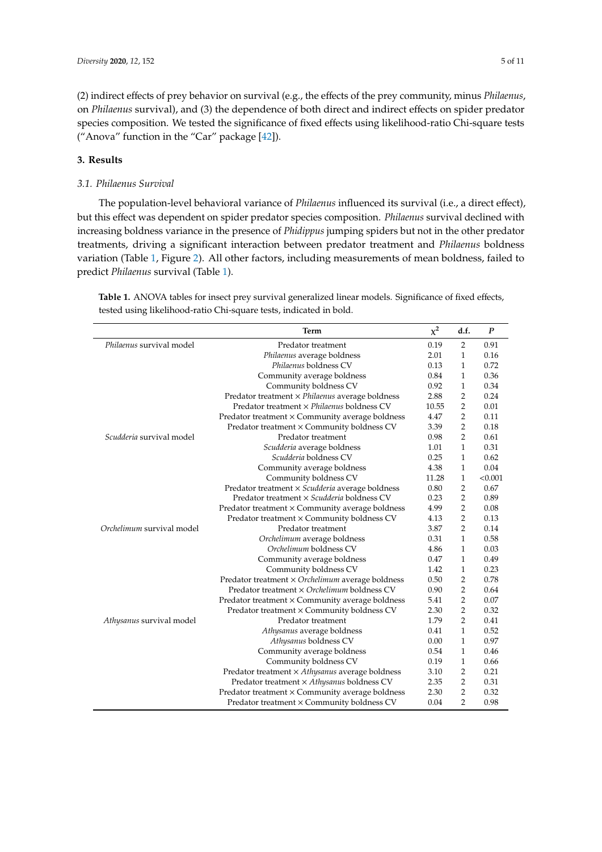(2) indirect effects of prey behavior on survival (e.g., the effects of the prey community, minus *Philaenus*, on *Philaenus* survival), and (3) the dependence of both direct and indirect effects on spider predator species composition. We tested the significance of fixed effects using likelihood-ratio Chi-square tests ("Anova" function in the "Car" package [\[42\]](#page-9-20)).

# **3. Results**

# *3.1. Philaenus Survival*

The population-level behavioral variance of *Philaenus* influenced its survival (i.e., a direct effect), but this effect was dependent on spider predator species composition. *Philaenus* survival declined with increasing boldness variance in the presence of *Phidippus* jumping spiders but not in the other predator treatments, driving a significant interaction between predator treatment and *Philaenus* boldness variation (Table [1,](#page-4-0) Figure [2\)](#page-5-0). All other factors, including measurements of mean boldness, failed to predict *Philaenus* survival (Table [1\)](#page-4-0).

|                           | <b>Term</b>                                            | $x^2$ | d.f.           | $\boldsymbol{P}$ |
|---------------------------|--------------------------------------------------------|-------|----------------|------------------|
| Philaenus survival model  | Predator treatment                                     | 0.19  | $\overline{2}$ | 0.91             |
|                           | Philaenus average boldness                             | 2.01  | $\mathbf{1}$   | 0.16             |
|                           | Philaenus boldness CV                                  | 0.13  | $\mathbf{1}$   | 0.72             |
|                           | Community average boldness                             | 0.84  | $\mathbf{1}$   | 0.36             |
|                           | Community boldness CV                                  | 0.92  | $\mathbf{1}$   | 0.34             |
|                           | Predator treatment × Philaenus average boldness        | 2.88  | $\overline{2}$ | 0.24             |
|                           | Predator treatment × Philaenus boldness CV             | 10.55 | $\overline{2}$ | 0.01             |
|                           | Predator treatment × Community average boldness        | 4.47  | $\mathbf 2$    | 0.11             |
|                           | Predator treatment × Community boldness CV             | 3.39  | $\overline{2}$ | 0.18             |
| Scudderia survival model  | Predator treatment                                     | 0.98  | $\overline{2}$ | 0.61             |
|                           | Scudderia average boldness                             | 1.01  | $\mathbf{1}$   | 0.31             |
|                           | Scudderia boldness CV                                  | 0.25  | $\mathbf{1}$   | 0.62             |
|                           | Community average boldness                             | 4.38  | $\mathbf{1}$   | 0.04             |
|                           | Community boldness CV                                  | 11.28 | $\mathbf{1}$   | < 0.001          |
|                           | Predator treatment × Scudderia average boldness        | 0.80  | $\overline{2}$ | 0.67             |
|                           | Predator treatment × Scudderia boldness CV             | 0.23  | $\overline{2}$ | 0.89             |
|                           | Predator treatment $\times$ Community average boldness | 4.99  | $\overline{2}$ | 0.08             |
|                           | Predator treatment × Community boldness CV             | 4.13  | $\mathbf 2$    | 0.13             |
| Orchelimum survival model | Predator treatment                                     | 3.87  | $\overline{2}$ | 0.14             |
|                           | Orchelimum average boldness                            | 0.31  | $\mathbf{1}$   | 0.58             |
|                           | Orchelimum boldness CV                                 | 4.86  | $\mathbf{1}$   | 0.03             |
|                           | Community average boldness                             | 0.47  | $\mathbf{1}$   | 0.49             |
|                           | Community boldness CV                                  | 1.42  | $\mathbf{1}$   | 0.23             |
|                           | Predator treatment × Orchelimum average boldness       | 0.50  | 2              | 0.78             |
|                           | Predator treatment × Orchelimum boldness CV            | 0.90  | $\overline{2}$ | 0.64             |
|                           | Predator treatment × Community average boldness        | 5.41  | $\overline{2}$ | 0.07             |
|                           | Predator treatment × Community boldness CV             | 2.30  | $\overline{2}$ | 0.32             |
| Athysanus survival model  | Predator treatment                                     | 1.79  | $\overline{2}$ | 0.41             |
|                           | Athysanus average boldness                             | 0.41  | $\mathbf{1}$   | 0.52             |
|                           | Athysanus boldness CV                                  | 0.00  | $\mathbf{1}$   | 0.97             |
|                           | Community average boldness                             | 0.54  | $\mathbf{1}$   | 0.46             |
|                           | Community boldness CV                                  | 0.19  | $\mathbf{1}$   | 0.66             |
|                           | Predator treatment × Athysanus average boldness        | 3.10  | $\overline{2}$ | 0.21             |
|                           | Predator treatment × Athysanus boldness CV             | 2.35  | $\overline{2}$ | 0.31             |
|                           | Predator treatment × Community average boldness        | 2.30  | 2              | 0.32             |
|                           | Predator treatment × Community boldness CV             | 0.04  | $\overline{2}$ | 0.98             |

<span id="page-4-0"></span>**Table 1.** ANOVA tables for insect prey survival generalized linear models. Significance of fixed effects, tested using likelihood-ratio Chi-square tests, indicated in bold.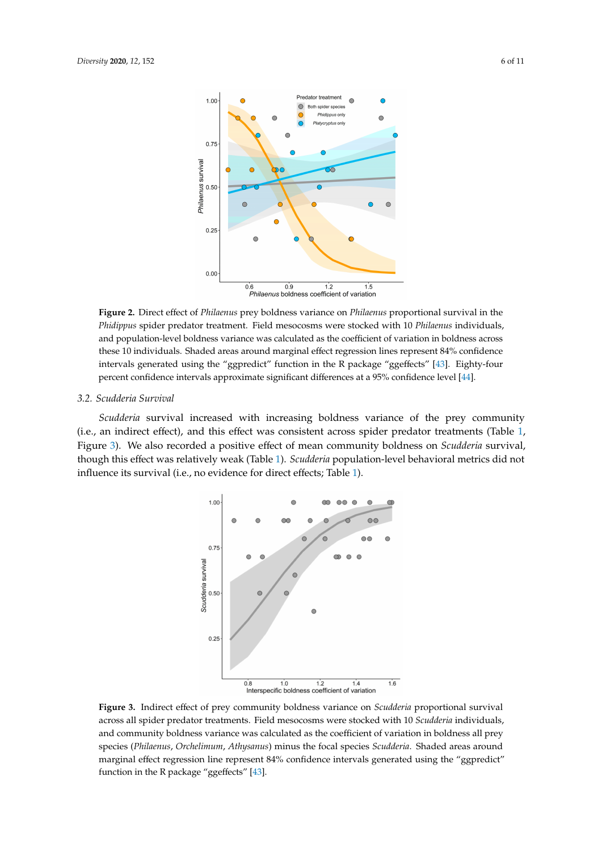<span id="page-5-0"></span>

**Figure 2.** Direct effect of *Philaenus* prey boldness variance on *Philaenus* proportional survival in the *Phidippus* spider predator treatment. Field mesocosms were stocked with 10 *Philaenus* individuals, and population-level boldness variance was calculated as the coefficient of variation in boldness across these 10 individuals. Shaded areas around marginal effect regression lines represent 84% confidence intervals generated using the "ggpredict" function in the R package "ggeffects" [\[43\]](#page-9-21). Eighty-four percent confidence intervals approximate significant differences at a 95% confidence level [\[44\]](#page-10-0).

## *3.2. Scudderia Survival*

<span id="page-5-1"></span>*Scudderia* survival increased with increasing boldness variance of the prey community (i.e., an indirect effect), and this effect was consistent across spider predator treatments (Table [1,](#page-4-0) Figure [3\)](#page-5-1). We also recorded a positive effect of mean community boldness on *Scudderia* survival, though this effect was relatively weak (Table [1\)](#page-4-0). *Scudderia* population-level behavioral metrics did not influence its survival (i.e., no evidence for direct effects; Table [1\)](#page-4-0).



**Figure 3.** Indirect effect of prey community boldness variance on *Scudderia* proportional survival across all spider predator treatments. Field mesocosms were stocked with 10 *Scudderia* individuals, and community boldness variance was calculated as the coefficient of variation in boldness all prey species (*Philaenus*, *Orchelimum*, *Athysanus*) minus the focal species *Scudderia*. Shaded areas around marginal effect regression line represent 84% confidence intervals generated using the "ggpredict" function in the R package "ggeffects" [\[43\]](#page-9-21).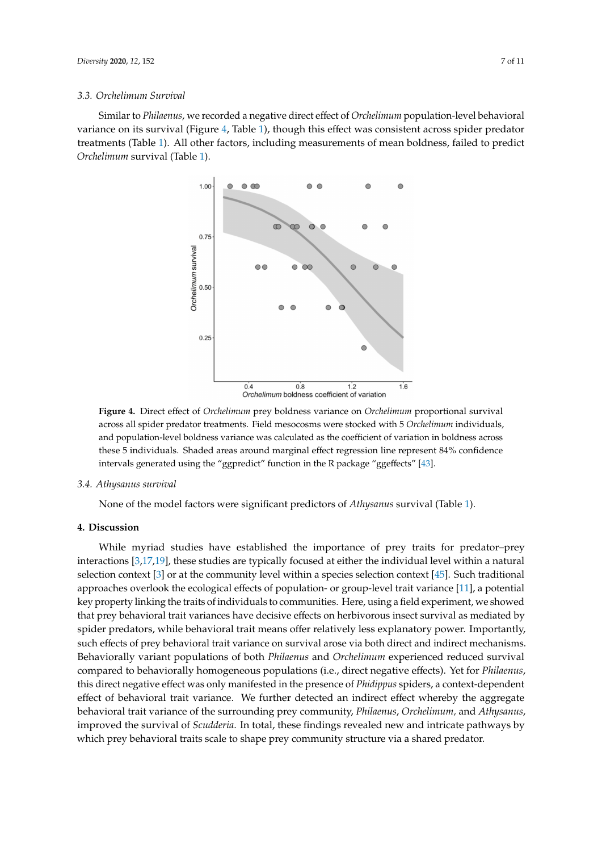#### *3.3. Orchelimum Survival*

<span id="page-6-0"></span>Similar to *Philaenus*, we recorded a negative direct effect of *Orchelimum* population-level behavioral variance on its survival (Figure [4,](#page-6-0) Table [1\)](#page-4-0), though this effect was consistent across spider predator treatments (Table [1\)](#page-4-0). All other factors, including measurements of mean boldness, failed to predict *Orchelimum* survival (Table [1\)](#page-4-0).



**Figure 4.** Direct effect of *Orchelimum* prey boldness variance on *Orchelimum* proportional survival across all spider predator treatments. Field mesocosms were stocked with 5 *Orchelimum* individuals, and population-level boldness variance was calculated as the coefficient of variation in boldness across these 5 individuals. Shaded areas around marginal effect regression line represent 84% confidence intervals generated using the "ggpredict" function in the R package "ggeffects" [\[43\]](#page-9-21).

#### *3.4. Athysanus survival*

None of the model factors were significant predictors of *Athysanus* survival (Table [1\)](#page-4-0).

## **4. Discussion**

While myriad studies have established the importance of prey traits for predator–prey interactions [\[3](#page-8-12)[,17](#page-8-10)[,19\]](#page-9-0), these studies are typically focused at either the individual level within a natural selection context [\[3\]](#page-8-12) or at the community level within a species selection context [\[45\]](#page-10-1). Such traditional approaches overlook the ecological effects of population- or group-level trait variance [\[11\]](#page-8-5), a potential key property linking the traits of individuals to communities. Here, using a field experiment, we showed that prey behavioral trait variances have decisive effects on herbivorous insect survival as mediated by spider predators, while behavioral trait means offer relatively less explanatory power. Importantly, such effects of prey behavioral trait variance on survival arose via both direct and indirect mechanisms. Behaviorally variant populations of both *Philaenus* and *Orchelimum* experienced reduced survival compared to behaviorally homogeneous populations (i.e., direct negative effects). Yet for *Philaenus*, this direct negative effect was only manifested in the presence of *Phidippus* spiders, a context-dependent effect of behavioral trait variance. We further detected an indirect effect whereby the aggregate behavioral trait variance of the surrounding prey community, *Philaenus*, *Orchelimum,* and *Athysanus*, improved the survival of *Scudderia*. In total, these findings revealed new and intricate pathways by which prey behavioral traits scale to shape prey community structure via a shared predator.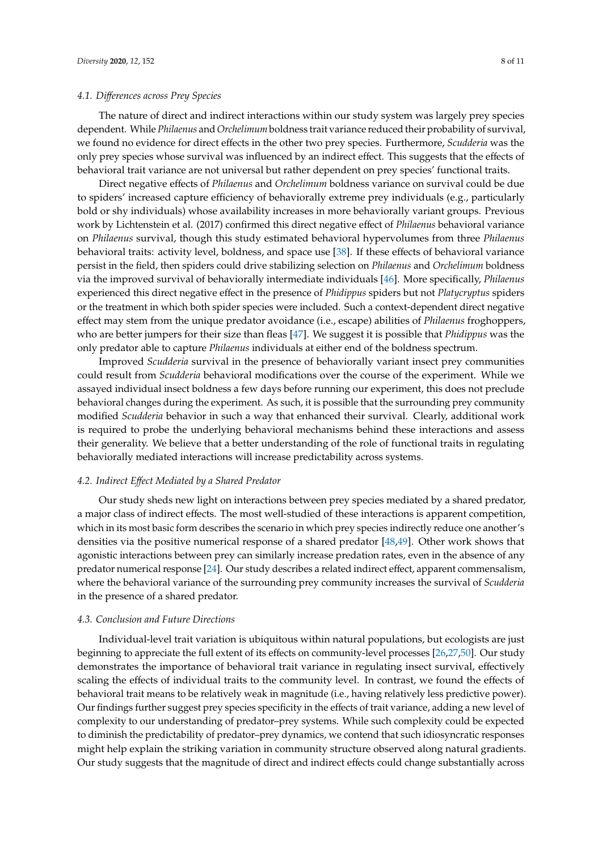## *4.1. Di*ff*erences across Prey Species*

The nature of direct and indirect interactions within our study system was largely prey species dependent. While *Philaenus* and *Orchelimum* boldness trait variance reduced their probability of survival, we found no evidence for direct effects in the other two prey species. Furthermore, *Scudderia* was the only prey species whose survival was influenced by an indirect effect. This suggests that the effects of behavioral trait variance are not universal but rather dependent on prey species' functional traits.

Direct negative effects of *Philaenus* and *Orchelimum* boldness variance on survival could be due to spiders' increased capture efficiency of behaviorally extreme prey individuals (e.g., particularly bold or shy individuals) whose availability increases in more behaviorally variant groups. Previous work by Lichtenstein et al. (2017) confirmed this direct negative effect of *Philaenus* behavioral variance on *Philaenus* survival, though this study estimated behavioral hypervolumes from three *Philaenus* behavioral traits: activity level, boldness, and space use [\[38\]](#page-9-16). If these effects of behavioral variance persist in the field, then spiders could drive stabilizing selection on *Philaenus* and *Orchelimum* boldness via the improved survival of behaviorally intermediate individuals [\[46\]](#page-10-2). More specifically, *Philaenus* experienced this direct negative effect in the presence of *Phidippus* spiders but not *Platycryptus* spiders or the treatment in which both spider species were included. Such a context-dependent direct negative effect may stem from the unique predator avoidance (i.e., escape) abilities of *Philaenus* froghoppers, who are better jumpers for their size than fleas [\[47\]](#page-10-3). We suggest it is possible that *Phidippus* was the only predator able to capture *Philaenus* individuals at either end of the boldness spectrum.

Improved *Scudderia* survival in the presence of behaviorally variant insect prey communities could result from *Scudderia* behavioral modifications over the course of the experiment. While we assayed individual insect boldness a few days before running our experiment, this does not preclude behavioral changes during the experiment. As such, it is possible that the surrounding prey community modified *Scudderia* behavior in such a way that enhanced their survival. Clearly, additional work is required to probe the underlying behavioral mechanisms behind these interactions and assess their generality. We believe that a better understanding of the role of functional traits in regulating behaviorally mediated interactions will increase predictability across systems.

## *4.2. Indirect E*ff*ect Mediated by a Shared Predator*

Our study sheds new light on interactions between prey species mediated by a shared predator, a major class of indirect effects. The most well-studied of these interactions is apparent competition, which in its most basic form describes the scenario in which prey species indirectly reduce one another's densities via the positive numerical response of a shared predator [\[48](#page-10-4)[,49\]](#page-10-5). Other work shows that agonistic interactions between prey can similarly increase predation rates, even in the absence of any predator numerical response [\[24\]](#page-9-5). Our study describes a related indirect effect, apparent commensalism, where the behavioral variance of the surrounding prey community increases the survival of *Scudderia* in the presence of a shared predator.

### *4.3. Conclusion and Future Directions*

Individual-level trait variation is ubiquitous within natural populations, but ecologists are just beginning to appreciate the full extent of its effects on community-level processes [\[26](#page-9-7)[,27,](#page-9-22)[50\]](#page-10-6). Our study demonstrates the importance of behavioral trait variance in regulating insect survival, effectively scaling the effects of individual traits to the community level. In contrast, we found the effects of behavioral trait means to be relatively weak in magnitude (i.e., having relatively less predictive power). Our findings further suggest prey species specificity in the effects of trait variance, adding a new level of complexity to our understanding of predator–prey systems. While such complexity could be expected to diminish the predictability of predator–prey dynamics, we contend that such idiosyncratic responses might help explain the striking variation in community structure observed along natural gradients. Our study suggests that the magnitude of direct and indirect effects could change substantially across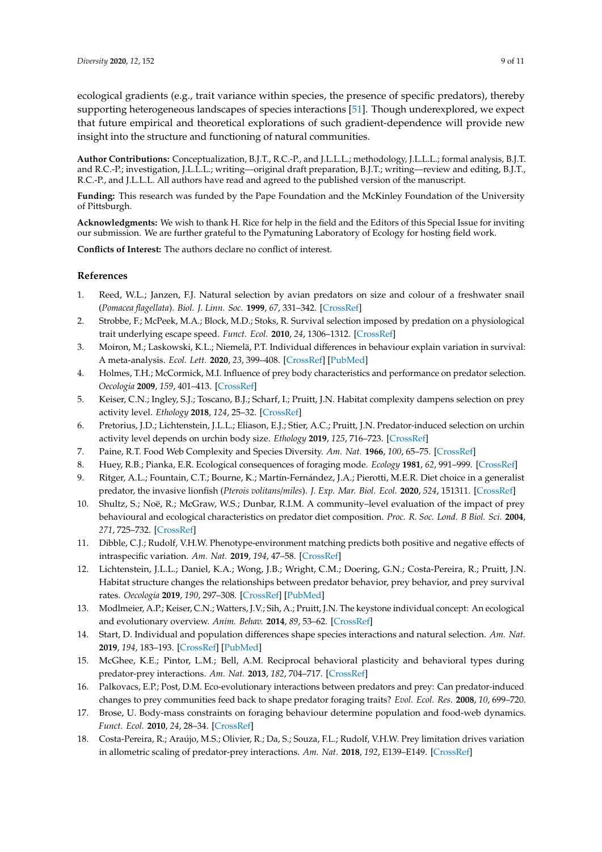ecological gradients (e.g., trait variance within species, the presence of specific predators), thereby supporting heterogeneous landscapes of species interactions [\[51\]](#page-10-7). Though underexplored, we expect that future empirical and theoretical explorations of such gradient-dependence will provide new insight into the structure and functioning of natural communities.

**Author Contributions:** Conceptualization, B.J.T., R.C.-P., and J.L.L.L.; methodology, J.L.L.L.; formal analysis, B.J.T. and R.C.-P.; investigation, J.L.L.L.; writing—original draft preparation, B.J.T.; writing—review and editing, B.J.T., R.C.-P., and J.L.L.L. All authors have read and agreed to the published version of the manuscript.

**Funding:** This research was funded by the Pape Foundation and the McKinley Foundation of the University of Pittsburgh.

**Acknowledgments:** We wish to thank H. Rice for help in the field and the Editors of this Special Issue for inviting our submission. We are further grateful to the Pymatuning Laboratory of Ecology for hosting field work.

**Conflicts of Interest:** The authors declare no conflict of interest.

# **References**

- <span id="page-8-0"></span>1. Reed, W.L.; Janzen, F.J. Natural selection by avian predators on size and colour of a freshwater snail (*Pomacea flagellata*). *Biol. J. Linn. Soc.* **1999**, *67*, 331–342. [\[CrossRef\]](http://dx.doi.org/10.1006/bijl.1998.0305)
- 2. Strobbe, F.; McPeek, M.A.; Block, M.D.; Stoks, R. Survival selection imposed by predation on a physiological trait underlying escape speed. *Funct. Ecol.* **2010**, *24*, 1306–1312. [\[CrossRef\]](http://dx.doi.org/10.1111/j.1365-2435.2010.01752.x)
- <span id="page-8-12"></span>3. Moiron, M.; Laskowski, K.L.; Niemelä, P.T. Individual differences in behaviour explain variation in survival: A meta-analysis. *Ecol. Lett.* **2020**, *23*, 399–408. [\[CrossRef\]](http://dx.doi.org/10.1111/ele.13438) [\[PubMed\]](http://www.ncbi.nlm.nih.gov/pubmed/31811699)
- 4. Holmes, T.H.; McCormick, M.I. Influence of prey body characteristics and performance on predator selection. *Oecologia* **2009**, *159*, 401–413. [\[CrossRef\]](http://dx.doi.org/10.1007/s00442-008-1220-x)
- 5. Keiser, C.N.; Ingley, S.J.; Toscano, B.J.; Scharf, I.; Pruitt, J.N. Habitat complexity dampens selection on prey activity level. *Ethology* **2018**, *124*, 25–32. [\[CrossRef\]](http://dx.doi.org/10.1111/eth.12700)
- <span id="page-8-1"></span>6. Pretorius, J.D.; Lichtenstein, J.L.L.; Eliason, E.J.; Stier, A.C.; Pruitt, J.N. Predator-induced selection on urchin activity level depends on urchin body size. *Ethology* **2019**, *125*, 716–723. [\[CrossRef\]](http://dx.doi.org/10.1111/eth.12924)
- <span id="page-8-2"></span>7. Paine, R.T. Food Web Complexity and Species Diversity. *Am. Nat.* **1966**, *100*, 65–75. [\[CrossRef\]](http://dx.doi.org/10.1086/282400)
- <span id="page-8-3"></span>8. Huey, R.B.; Pianka, E.R. Ecological consequences of foraging mode. *Ecology* **1981**, *62*, 991–999. [\[CrossRef\]](http://dx.doi.org/10.2307/1936998)
- 9. Ritger, A.L.; Fountain, C.T.; Bourne, K.; Martín-Fernández, J.A.; Pierotti, M.E.R. Diet choice in a generalist predator, the invasive lionfish (*Pterois volitans*/*miles*). *J. Exp. Mar. Biol. Ecol.* **2020**, *524*, 151311. [\[CrossRef\]](http://dx.doi.org/10.1016/j.jembe.2020.151311)
- <span id="page-8-4"></span>10. Shultz, S.; Noë, R.; McGraw, W.S.; Dunbar, R.I.M. A community–level evaluation of the impact of prey behavioural and ecological characteristics on predator diet composition. *Proc. R. Soc. Lond. B Biol. Sci.* **2004**, *271*, 725–732. [\[CrossRef\]](http://dx.doi.org/10.1098/rspb.2003.2626)
- <span id="page-8-5"></span>11. Dibble, C.J.; Rudolf, V.H.W. Phenotype-environment matching predicts both positive and negative effects of intraspecific variation. *Am. Nat.* **2019**, *194*, 47–58. [\[CrossRef\]](http://dx.doi.org/10.1086/703483)
- <span id="page-8-6"></span>12. Lichtenstein, J.L.L.; Daniel, K.A.; Wong, J.B.; Wright, C.M.; Doering, G.N.; Costa-Pereira, R.; Pruitt, J.N. Habitat structure changes the relationships between predator behavior, prey behavior, and prey survival rates. *Oecologia* **2019**, *190*, 297–308. [\[CrossRef\]](http://dx.doi.org/10.1007/s00442-019-04344-w) [\[PubMed\]](http://www.ncbi.nlm.nih.gov/pubmed/30707296)
- <span id="page-8-7"></span>13. Modlmeier, A.P.; Keiser, C.N.; Watters, J.V.; Sih, A.; Pruitt, J.N. The keystone individual concept: An ecological and evolutionary overview. *Anim. Behav.* **2014**, *89*, 53–62. [\[CrossRef\]](http://dx.doi.org/10.1016/j.anbehav.2013.12.020)
- <span id="page-8-8"></span>14. Start, D. Individual and population differences shape species interactions and natural selection. *Am. Nat.* **2019**, *194*, 183–193. [\[CrossRef\]](http://dx.doi.org/10.1086/704060) [\[PubMed\]](http://www.ncbi.nlm.nih.gov/pubmed/31318293)
- 15. McGhee, K.E.; Pintor, L.M.; Bell, A.M. Reciprocal behavioral plasticity and behavioral types during predator-prey interactions. *Am. Nat.* **2013**, *182*, 704–717. [\[CrossRef\]](http://dx.doi.org/10.1086/673526)
- <span id="page-8-9"></span>16. Palkovacs, E.P.; Post, D.M. Eco-evolutionary interactions between predators and prey: Can predator-induced changes to prey communities feed back to shape predator foraging traits? *Evol. Ecol. Res.* **2008**, *10*, 699–720.
- <span id="page-8-10"></span>17. Brose, U. Body-mass constraints on foraging behaviour determine population and food-web dynamics. *Funct. Ecol.* **2010**, *24*, 28–34. [\[CrossRef\]](http://dx.doi.org/10.1111/j.1365-2435.2009.01618.x)
- <span id="page-8-11"></span>18. Costa-Pereira, R.; Araújo, M.S.; Olivier, R.; Da, S.; Souza, F.L.; Rudolf, V.H.W. Prey limitation drives variation in allometric scaling of predator-prey interactions. *Am. Nat.* **2018**, *192*, E139–E149. [\[CrossRef\]](http://dx.doi.org/10.1086/698726)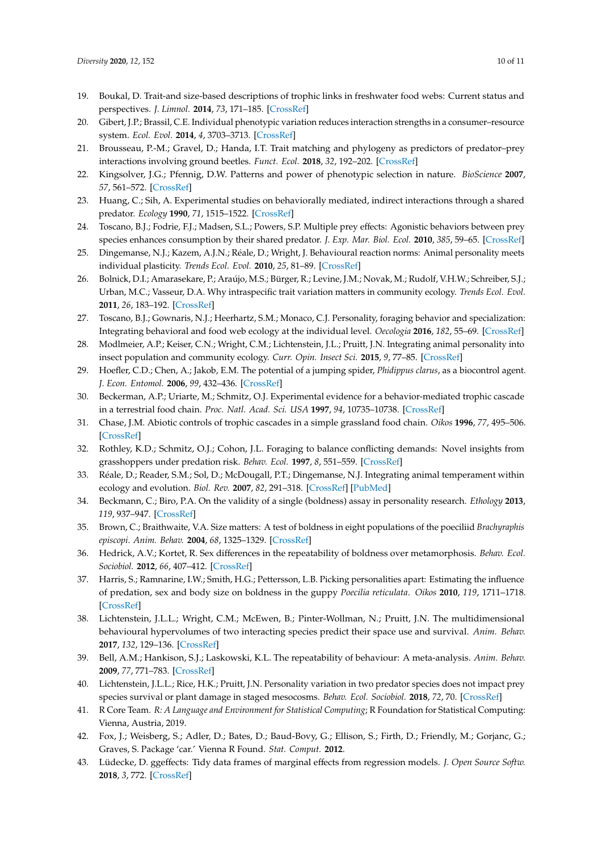- <span id="page-9-0"></span>19. Boukal, D. Trait-and size-based descriptions of trophic links in freshwater food webs: Current status and perspectives. *J. Limnol.* **2014**, *73*, 171–185. [\[CrossRef\]](http://dx.doi.org/10.4081/jlimnol.2014.826)
- <span id="page-9-1"></span>20. Gibert, J.P.; Brassil, C.E. Individual phenotypic variation reduces interaction strengths in a consumer–resource system. *Ecol. Evol.* **2014**, *4*, 3703–3713. [\[CrossRef\]](http://dx.doi.org/10.1002/ece3.1212)
- <span id="page-9-2"></span>21. Brousseau, P.-M.; Gravel, D.; Handa, I.T. Trait matching and phylogeny as predictors of predator–prey interactions involving ground beetles. *Funct. Ecol.* **2018**, *32*, 192–202. [\[CrossRef\]](http://dx.doi.org/10.1111/1365-2435.12943)
- <span id="page-9-3"></span>22. Kingsolver, J.G.; Pfennig, D.W. Patterns and power of phenotypic selection in nature. *BioScience* **2007**, *57*, 561–572. [\[CrossRef\]](http://dx.doi.org/10.1641/B570706)
- <span id="page-9-4"></span>23. Huang, C.; Sih, A. Experimental studies on behaviorally mediated, indirect interactions through a shared predator. *Ecology* **1990**, *71*, 1515–1522. [\[CrossRef\]](http://dx.doi.org/10.2307/1938288)
- <span id="page-9-5"></span>24. Toscano, B.J.; Fodrie, F.J.; Madsen, S.L.; Powers, S.P. Multiple prey effects: Agonistic behaviors between prey species enhances consumption by their shared predator. *J. Exp. Mar. Biol. Ecol.* **2010**, *385*, 59–65. [\[CrossRef\]](http://dx.doi.org/10.1016/j.jembe.2010.01.001)
- <span id="page-9-6"></span>25. Dingemanse, N.J.; Kazem, A.J.N.; Réale, D.; Wright, J. Behavioural reaction norms: Animal personality meets individual plasticity. *Trends Ecol. Evol.* **2010**, *25*, 81–89. [\[CrossRef\]](http://dx.doi.org/10.1016/j.tree.2009.07.013)
- <span id="page-9-7"></span>26. Bolnick, D.I.; Amarasekare, P.; Araújo, M.S.; Bürger, R.; Levine, J.M.; Novak, M.; Rudolf, V.H.W.; Schreiber, S.J.; Urban, M.C.; Vasseur, D.A. Why intraspecific trait variation matters in community ecology. *Trends Ecol. Evol.* **2011**, *26*, 183–192. [\[CrossRef\]](http://dx.doi.org/10.1016/j.tree.2011.01.009)
- <span id="page-9-22"></span>27. Toscano, B.J.; Gownaris, N.J.; Heerhartz, S.M.; Monaco, C.J. Personality, foraging behavior and specialization: Integrating behavioral and food web ecology at the individual level. *Oecologia* **2016**, *182*, 55–69. [\[CrossRef\]](http://dx.doi.org/10.1007/s00442-016-3648-8)
- <span id="page-9-8"></span>28. Modlmeier, A.P.; Keiser, C.N.; Wright, C.M.; Lichtenstein, J.L.; Pruitt, J.N. Integrating animal personality into insect population and community ecology. *Curr. Opin. Insect Sci.* **2015**, *9*, 77–85. [\[CrossRef\]](http://dx.doi.org/10.1016/j.cois.2015.03.008)
- <span id="page-9-9"></span>29. Hoefler, C.D.; Chen, A.; Jakob, E.M. The potential of a jumping spider, *Phidippus clarus*, as a biocontrol agent. *J. Econ. Entomol.* **2006**, *99*, 432–436. [\[CrossRef\]](http://dx.doi.org/10.1093/jee/99.2.432)
- 30. Beckerman, A.P.; Uriarte, M.; Schmitz, O.J. Experimental evidence for a behavior-mediated trophic cascade in a terrestrial food chain. *Proc. Natl. Acad. Sci. USA* **1997**, *94*, 10735–10738. [\[CrossRef\]](http://dx.doi.org/10.1073/pnas.94.20.10735)
- <span id="page-9-10"></span>31. Chase, J.M. Abiotic controls of trophic cascades in a simple grassland food chain. *Oikos* **1996**, *77*, 495–506. [\[CrossRef\]](http://dx.doi.org/10.2307/3545939)
- <span id="page-9-11"></span>32. Rothley, K.D.; Schmitz, O.J.; Cohon, J.L. Foraging to balance conflicting demands: Novel insights from grasshoppers under predation risk. *Behav. Ecol.* **1997**, *8*, 551–559. [\[CrossRef\]](http://dx.doi.org/10.1093/beheco/8.5.551)
- <span id="page-9-12"></span>33. Réale, D.; Reader, S.M.; Sol, D.; McDougall, P.T.; Dingemanse, N.J. Integrating animal temperament within ecology and evolution. *Biol. Rev.* **2007**, *82*, 291–318. [\[CrossRef\]](http://dx.doi.org/10.1111/j.1469-185X.2007.00010.x) [\[PubMed\]](http://www.ncbi.nlm.nih.gov/pubmed/17437562)
- <span id="page-9-13"></span>34. Beckmann, C.; Biro, P.A. On the validity of a single (boldness) assay in personality research. *Ethology* **2013**, *119*, 937–947. [\[CrossRef\]](http://dx.doi.org/10.1111/eth.12137)
- <span id="page-9-14"></span>35. Brown, C.; Braithwaite, V.A. Size matters: A test of boldness in eight populations of the poeciliid *Brachyraphis episcopi*. *Anim. Behav.* **2004**, *68*, 1325–1329. [\[CrossRef\]](http://dx.doi.org/10.1016/j.anbehav.2004.04.004)
- 36. Hedrick, A.V.; Kortet, R. Sex differences in the repeatability of boldness over metamorphosis. *Behav. Ecol. Sociobiol.* **2012**, *66*, 407–412. [\[CrossRef\]](http://dx.doi.org/10.1007/s00265-011-1286-z)
- <span id="page-9-15"></span>37. Harris, S.; Ramnarine, I.W.; Smith, H.G.; Pettersson, L.B. Picking personalities apart: Estimating the influence of predation, sex and body size on boldness in the guppy *Poecilia reticulata*. *Oikos* **2010**, *119*, 1711–1718. [\[CrossRef\]](http://dx.doi.org/10.1111/j.1600-0706.2010.18028.x)
- <span id="page-9-16"></span>38. Lichtenstein, J.L.L.; Wright, C.M.; McEwen, B.; Pinter-Wollman, N.; Pruitt, J.N. The multidimensional behavioural hypervolumes of two interacting species predict their space use and survival. *Anim. Behav.* **2017**, *132*, 129–136. [\[CrossRef\]](http://dx.doi.org/10.1016/j.anbehav.2017.08.010)
- <span id="page-9-17"></span>39. Bell, A.M.; Hankison, S.J.; Laskowski, K.L. The repeatability of behaviour: A meta-analysis. *Anim. Behav.* **2009**, *77*, 771–783. [\[CrossRef\]](http://dx.doi.org/10.1016/j.anbehav.2008.12.022)
- <span id="page-9-18"></span>40. Lichtenstein, J.L.L.; Rice, H.K.; Pruitt, J.N. Personality variation in two predator species does not impact prey species survival or plant damage in staged mesocosms. *Behav. Ecol. Sociobiol.* **2018**, *72*, 70. [\[CrossRef\]](http://dx.doi.org/10.1007/s00265-018-2487-5)
- <span id="page-9-19"></span>41. R Core Team. *R: A Language and Environment for Statistical Computing*; R Foundation for Statistical Computing: Vienna, Austria, 2019.
- <span id="page-9-20"></span>42. Fox, J.; Weisberg, S.; Adler, D.; Bates, D.; Baud-Bovy, G.; Ellison, S.; Firth, D.; Friendly, M.; Gorjanc, G.; Graves, S. Package 'car.' Vienna R Found. *Stat. Comput.* **2012**.
- <span id="page-9-21"></span>43. Lüdecke, D. ggeffects: Tidy data frames of marginal effects from regression models. *J. Open Source Softw.* **2018**, *3*, 772. [\[CrossRef\]](http://dx.doi.org/10.21105/joss.00772)